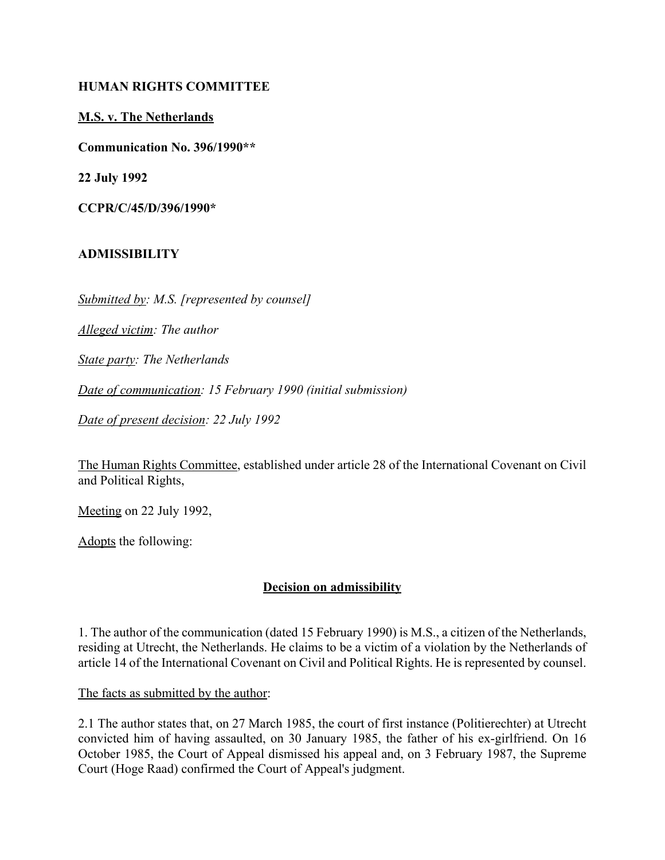#### **HUMAN RIGHTS COMMITTEE**

#### **M.S. v. The Netherlands**

**Communication No. 396/1990\*\***

**22 July 1992**

**CCPR/C/45/D/396/1990\***

### **ADMISSIBILITY**

*Submitted by: M.S. [represented by counsel]*

*Alleged victim: The author*

*State party: The Netherlands*

*Date of communication: 15 February 1990 (initial submission)*

*Date of present decision: 22 July 1992*

The Human Rights Committee, established under article 28 of the International Covenant on Civil and Political Rights,

Meeting on 22 July 1992,

Adopts the following:

### **Decision on admissibility**

1. The author of the communication (dated 15 February 1990) is M.S., a citizen of the Netherlands, residing at Utrecht, the Netherlands. He claims to be a victim of a violation by the Netherlands of article 14 of the International Covenant on Civil and Political Rights. He is represented by counsel.

The facts as submitted by the author:

2.1 The author states that, on 27 March 1985, the court of first instance (Politierechter) at Utrecht convicted him of having assaulted, on 30 January 1985, the father of his ex-girlfriend. On 16 October 1985, the Court of Appeal dismissed his appeal and, on 3 February 1987, the Supreme Court (Hoge Raad) confirmed the Court of Appeal's judgment.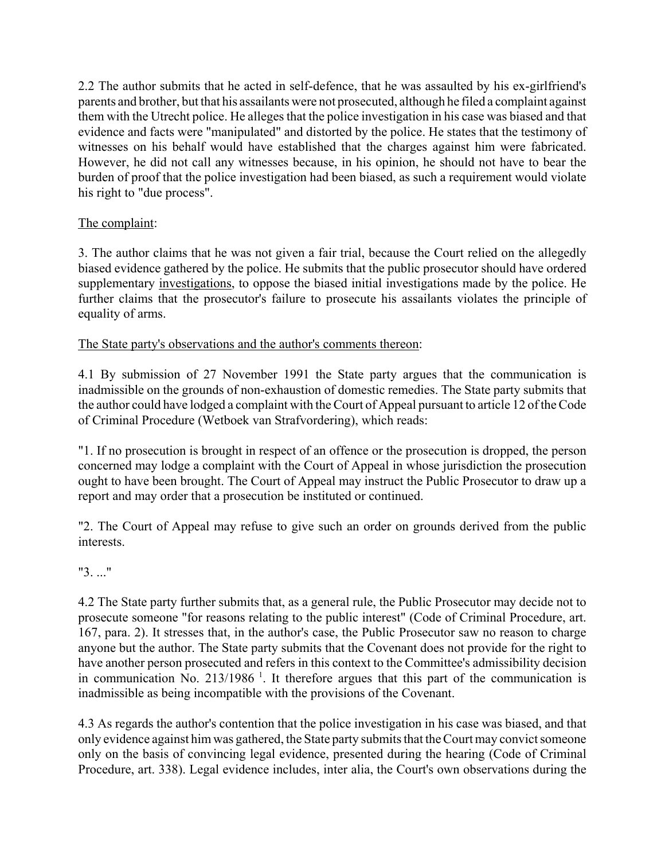2.2 The author submits that he acted in self-defence, that he was assaulted by his ex-girlfriend's parents and brother, but that his assailants were not prosecuted, although he filed a complaint against them with the Utrecht police. He alleges that the police investigation in his case was biased and that evidence and facts were "manipulated" and distorted by the police. He states that the testimony of witnesses on his behalf would have established that the charges against him were fabricated. However, he did not call any witnesses because, in his opinion, he should not have to bear the burden of proof that the police investigation had been biased, as such a requirement would violate his right to "due process".

# The complaint:

3. The author claims that he was not given a fair trial, because the Court relied on the allegedly biased evidence gathered by the police. He submits that the public prosecutor should have ordered supplementary investigations, to oppose the biased initial investigations made by the police. He further claims that the prosecutor's failure to prosecute his assailants violates the principle of equality of arms.

## The State party's observations and the author's comments thereon:

4.1 By submission of 27 November 1991 the State party argues that the communication is inadmissible on the grounds of non-exhaustion of domestic remedies. The State party submits that the author could have lodged a complaint with the Court of Appeal pursuant to article 12 of the Code of Criminal Procedure (Wetboek van Strafvordering), which reads:

"1. If no prosecution is brought in respect of an offence or the prosecution is dropped, the person concerned may lodge a complaint with the Court of Appeal in whose jurisdiction the prosecution ought to have been brought. The Court of Appeal may instruct the Public Prosecutor to draw up a report and may order that a prosecution be instituted or continued.

"2. The Court of Appeal may refuse to give such an order on grounds derived from the public interests.

# "3. ..."

4.2 The State party further submits that, as a general rule, the Public Prosecutor may decide not to prosecute someone "for reasons relating to the public interest" (Code of Criminal Procedure, art. 167, para. 2). It stresses that, in the author's case, the Public Prosecutor saw no reason to charge anyone but the author. The State party submits that the Covenant does not provide for the right to have another person prosecuted and refers in this context to the Committee's admissibility decision in communication No. 213/1986<sup> $1$ </sup>. It therefore argues that this part of the communication is inadmissible as being incompatible with the provisions of the Covenant.

4.3 As regards the author's contention that the police investigation in his case was biased, and that only evidence against him was gathered, the State party submits that the Court may convict someone only on the basis of convincing legal evidence, presented during the hearing (Code of Criminal Procedure, art. 338). Legal evidence includes, inter alia, the Court's own observations during the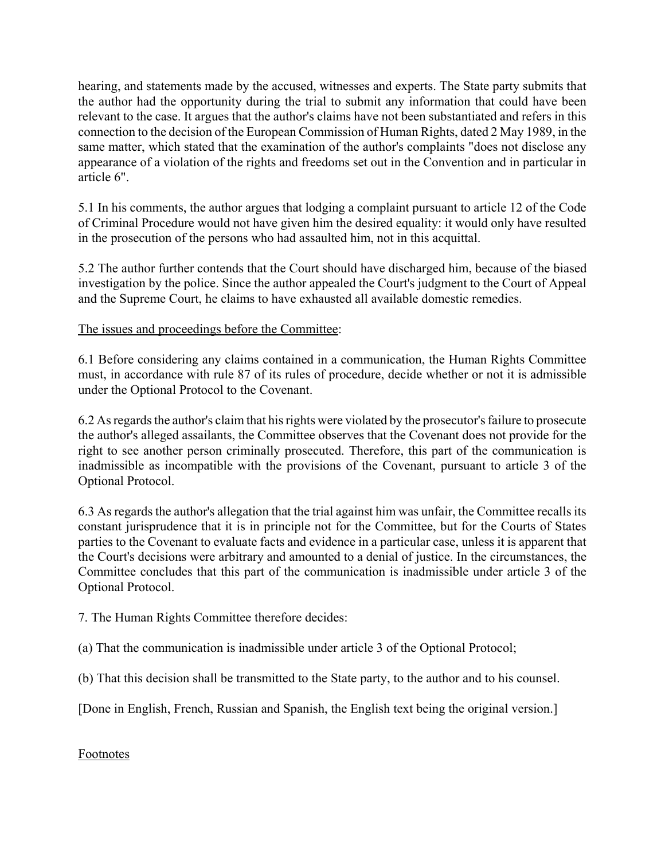hearing, and statements made by the accused, witnesses and experts. The State party submits that the author had the opportunity during the trial to submit any information that could have been relevant to the case. It argues that the author's claims have not been substantiated and refers in this connection to the decision of the European Commission of Human Rights, dated 2 May 1989, in the same matter, which stated that the examination of the author's complaints "does not disclose any appearance of a violation of the rights and freedoms set out in the Convention and in particular in article 6".

5.1 In his comments, the author argues that lodging a complaint pursuant to article 12 of the Code of Criminal Procedure would not have given him the desired equality: it would only have resulted in the prosecution of the persons who had assaulted him, not in this acquittal.

5.2 The author further contends that the Court should have discharged him, because of the biased investigation by the police. Since the author appealed the Court's judgment to the Court of Appeal and the Supreme Court, he claims to have exhausted all available domestic remedies.

The issues and proceedings before the Committee:

6.1 Before considering any claims contained in a communication, the Human Rights Committee must, in accordance with rule 87 of its rules of procedure, decide whether or not it is admissible under the Optional Protocol to the Covenant.

6.2 As regards the author's claim that his rights were violated by the prosecutor's failure to prosecute the author's alleged assailants, the Committee observes that the Covenant does not provide for the right to see another person criminally prosecuted. Therefore, this part of the communication is inadmissible as incompatible with the provisions of the Covenant, pursuant to article 3 of the Optional Protocol.

6.3 As regards the author's allegation that the trial against him was unfair, the Committee recalls its constant jurisprudence that it is in principle not for the Committee, but for the Courts of States parties to the Covenant to evaluate facts and evidence in a particular case, unless it is apparent that the Court's decisions were arbitrary and amounted to a denial of justice. In the circumstances, the Committee concludes that this part of the communication is inadmissible under article 3 of the Optional Protocol.

7. The Human Rights Committee therefore decides:

(a) That the communication is inadmissible under article 3 of the Optional Protocol;

(b) That this decision shall be transmitted to the State party, to the author and to his counsel.

[Done in English, French, Russian and Spanish, the English text being the original version.]

Footnotes